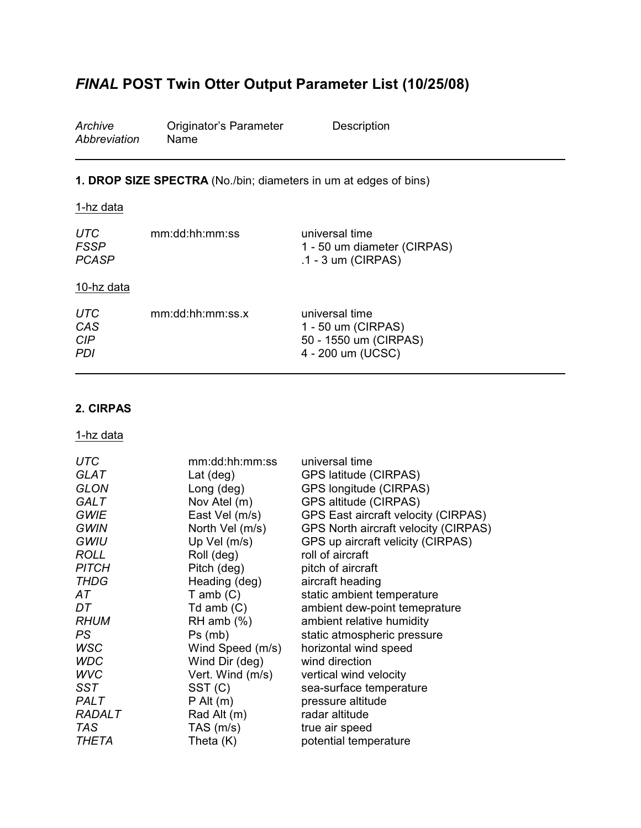# *FINAL* **POST Twin Otter Output Parameter List (10/25/08)**

| Archive      | Originator's Parameter | Description |
|--------------|------------------------|-------------|
| Abbreviation | Name                   |             |

## **1. DROP SIZE SPECTRA** (No./bin; diameters in um at edges of bins)

| mm:dd:hh:mm:ss   | universal time<br>1 - 50 um diameter (CIRPAS)<br>.1 - 3 um (CIRPAS)                |
|------------------|------------------------------------------------------------------------------------|
|                  |                                                                                    |
| mm:dd:hh:mm:ss.x | universal time<br>1 - 50 um (CIRPAS)<br>50 - 1550 um (CIRPAS)<br>4 - 200 um (UCSC) |
|                  |                                                                                    |

## **2. CIRPAS**

| <b>UTC</b>    | mm:dd:hh:mm:ss     | universal time                             |
|---------------|--------------------|--------------------------------------------|
| <b>GLAT</b>   | Lat $(\text{deg})$ | GPS latitude (CIRPAS)                      |
| <b>GLON</b>   | Long (deg)         | GPS longitude (CIRPAS)                     |
| <b>GALT</b>   | Nov Atel (m)       | GPS altitude (CIRPAS)                      |
| <b>GWIE</b>   | East Vel (m/s)     | <b>GPS East aircraft velocity (CIRPAS)</b> |
| <b>GWIN</b>   | North Vel (m/s)    | GPS North aircraft velocity (CIRPAS)       |
| GWIU          | Up Vel (m/s)       | GPS up aircraft velicity (CIRPAS)          |
| <b>ROLL</b>   | Roll (deg)         | roll of aircraft                           |
| <b>PITCH</b>  | Pitch (deg)        | pitch of aircraft                          |
| <b>THDG</b>   | Heading (deg)      | aircraft heading                           |
| АT            | $T$ amb $(C)$      | static ambient temperature                 |
| DT            | Td amb $(C)$       | ambient dew-point temeprature              |
| <b>RHUM</b>   | $RH$ amb $(\%)$    | ambient relative humidity                  |
| PS            | $Ps$ (mb)          | static atmospheric pressure                |
| <b>WSC</b>    | Wind Speed (m/s)   | horizontal wind speed                      |
| <b>WDC</b>    | Wind Dir (deg)     | wind direction                             |
| <b>WVC</b>    | Vert. Wind (m/s)   | vertical wind velocity                     |
| SST           | SST (C)            | sea-surface temperature                    |
| PALT          | $P$ Alt $(m)$      | pressure altitude                          |
| <b>RADALT</b> | Rad Alt (m)        | radar altitude                             |
| TAS           | TAS (m/s)          | true air speed                             |
| THETA         | Theta (K)          | potential temperature                      |
|               |                    |                                            |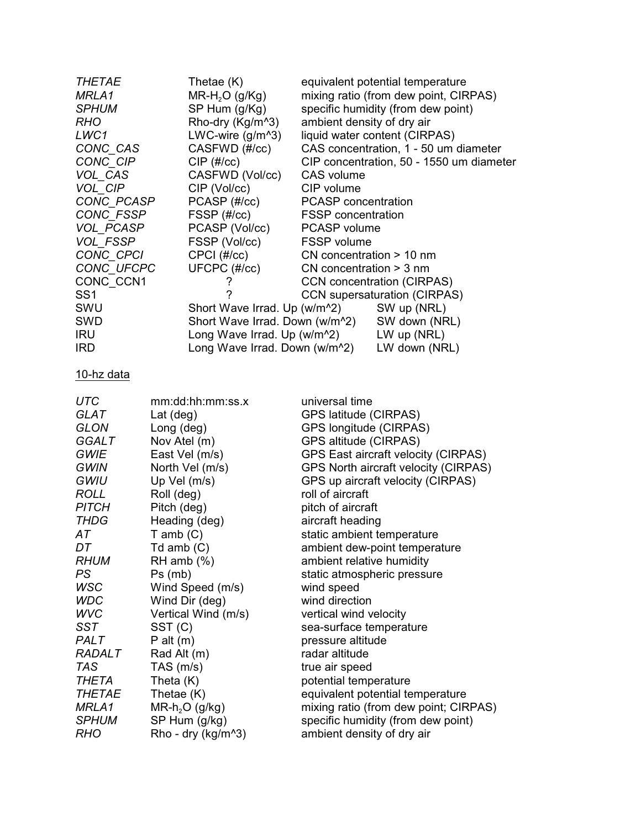| <b>THETAE</b>   | Thetae (K)                    | equivalent potential temperature                         |
|-----------------|-------------------------------|----------------------------------------------------------|
| MRLA1           | $MR-H2O(g/Kg)$                | mixing ratio (from dew point, CIRPAS)                    |
| <b>SPHUM</b>    | $SP$ Hum $(g/Kg)$             | specific humidity (from dew point)                       |
| <b>RHO</b>      | Rho-dry (Kg/m <sup>^3</sup> ) | ambient density of dry air                               |
| LWC1            | LWC-wire $(g/m^3)$            | liquid water content (CIRPAS)                            |
| CONC_CAS        | CASFWD (#/cc)                 | CAS concentration, 1 - 50 um diameter                    |
| CONC CIP        | $CIP$ (#/ $cc$ )              | CIP concentration, 50 - 1550 um diameter                 |
| VOL CAS         | CASFWD (Vol/cc)               | CAS volume                                               |
| VOL CIP         | CIP (Vol/cc)                  | CIP volume                                               |
| CONC PCASP      | PCASP (#/cc)                  | <b>PCASP</b> concentration                               |
| CONC FSSP       | FSSP (#/cc)                   | <b>FSSP</b> concentration                                |
| VOL PCASP       | PCASP (Vol/cc)                | PCASP volume                                             |
| <b>VOL FSSP</b> | FSSP (Vol/cc)                 | <b>FSSP</b> volume                                       |
| CONC CPCI       | $CPCI$ (#/ $cc$ )             | CN concentration $> 10$ nm                               |
| CONC UFCPC      | UFCPC (#/cc)                  | $CN$ concentration $>$ 3 nm                              |
| CONC CCN1       |                               | <b>CCN</b> concentration (CIRPAS)                        |
| SS <sub>1</sub> | ?                             | <b>CCN</b> supersaturation (CIRPAS)                      |
| SWU             |                               | Short Wave Irrad. Up (w/m <sup>2</sup> ) SW up (NRL)     |
| SWD             |                               | Short Wave Irrad. Down (w/m <sup>2</sup> ) SW down (NRL) |
| <b>IRU</b>      |                               | Long Wave Irrad. Up (w/m <sup>2</sup> ) LW up (NRL)      |
| <b>IRD</b>      |                               | Long Wave Irrad. Down (w/m <sup>2</sup> ) LW down (NRL)  |
|                 |                               |                                                          |

| <b>UTC</b>    | mm:dd:hh:mm:ss.x         | universal time                             |
|---------------|--------------------------|--------------------------------------------|
| <b>GLAT</b>   | Lat $(\text{deg})$       | GPS latitude (CIRPAS)                      |
| <b>GLON</b>   | Long (deg)               | GPS longitude (CIRPAS)                     |
| <b>GGALT</b>  | Nov Atel (m)             | GPS altitude (CIRPAS)                      |
| <b>GWIE</b>   | East Vel (m/s)           | <b>GPS East aircraft velocity (CIRPAS)</b> |
| <b>GWIN</b>   | North Vel (m/s)          | GPS North aircraft velocity (CIRPAS)       |
| GWIU          | Up Vel (m/s)             | GPS up aircraft velocity (CIRPAS)          |
| <b>ROLL</b>   | Roll (deg)               | roll of aircraft                           |
| <b>PITCH</b>  | Pitch (deg)              | pitch of aircraft                          |
| <b>THDG</b>   | Heading (deg)            | aircraft heading                           |
| AT            | $T$ amb $(C)$            | static ambient temperature                 |
| DT.           | Td amb $(C)$             | ambient dew-point temperature              |
| <b>RHUM</b>   | RH amb $(\%)$            | ambient relative humidity                  |
| PS.           | $Ps$ (mb)                | static atmospheric pressure                |
| <b>WSC</b>    | Wind Speed (m/s)         | wind speed                                 |
| <b>WDC</b>    | Wind Dir (deg)           | wind direction                             |
| <b>WVC</b>    | Vertical Wind (m/s)      | vertical wind velocity                     |
| SST           | SST (C)                  | sea-surface temperature                    |
| <b>PALT</b>   | $P$ alt $(m)$            | pressure altitude                          |
| <b>RADALT</b> | Rad Alt (m)              | radar altitude                             |
| TAS           | TAS $(m/s)$              | true air speed                             |
| THETA         | Theta (K)                | potential temperature                      |
| <b>THETAE</b> | Thetae (K)               | equivalent potential temperature           |
| MRLA1         | $MR-h2O$ (g/kg)          | mixing ratio (from dew point; CIRPAS)      |
| <b>SPHUM</b>  | SP Hum (g/kg)            | specific humidity (from dew point)         |
| <b>RHO</b>    | Rho - dry ( $kg/m^{3}$ ) | ambient density of dry air                 |
|               |                          |                                            |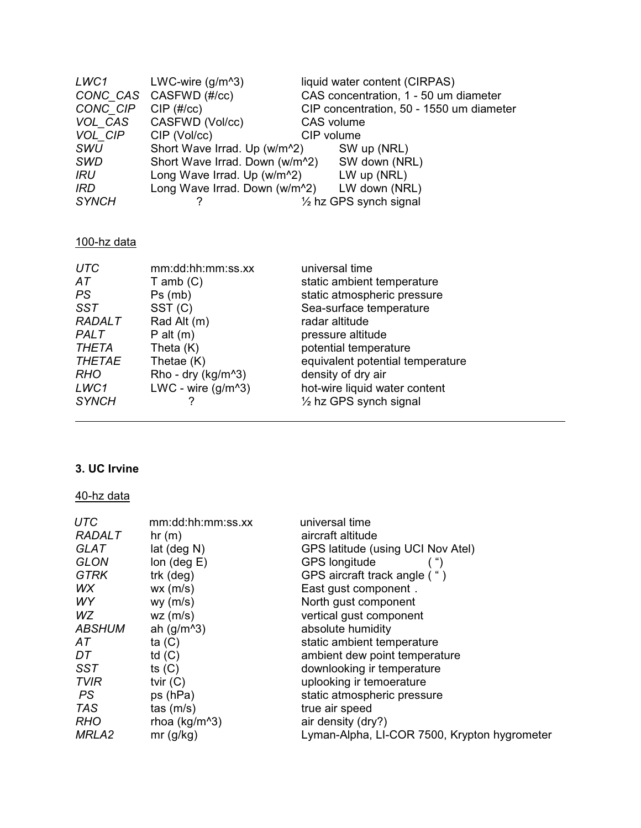| LWC1         | LWC-wire $(g/m^3)$                         | liquid water content (CIRPAS)            |
|--------------|--------------------------------------------|------------------------------------------|
|              | CONC CAS CASFWD (#/cc)                     | CAS concentration, 1 - 50 um diameter    |
| CONC CIP     | $CIP$ (#/ $cc$ )                           | CIP concentration, 50 - 1550 um diameter |
| VOL CAS      | CASFWD (Vol/cc)                            | CAS volume                               |
| VOL CIP      | CIP (Vol/cc)                               | CIP volume                               |
| <b>SWU</b>   | Short Wave Irrad. Up (w/m <sup>2</sup> )   | SW up (NRL)                              |
| <b>SWD</b>   | Short Wave Irrad. Down (w/m <sup>2</sup> ) | SW down (NRL)                            |
| IRU          | Long Wave Irrad. Up (w/m <sup>2</sup> )    | $LW$ up (NRL)                            |
| <b>IRD</b>   | Long Wave Irrad. Down (w/m <sup>2</sup> )  | LW down (NRL)                            |
| <b>SYNCH</b> |                                            | $\frac{1}{2}$ hz GPS synch signal        |

# 100-hz data

| <b>UTC</b>    | mm:dd:hh:mm:ss.xx      | universal time                    |
|---------------|------------------------|-----------------------------------|
| АT            | $T$ amb $(C)$          | static ambient temperature        |
| PS.           | Ps(mb)                 | static atmospheric pressure       |
| <b>SST</b>    | SST <sub>(C)</sub>     | Sea-surface temperature           |
| <b>RADALT</b> | Rad Alt (m)            | radar altitude                    |
| <b>PALT</b>   | $P$ alt $(m)$          | pressure altitude                 |
| <b>THETA</b>  | Theta (K)              | potential temperature             |
| <b>THETAE</b> | Thetae (K)             | equivalent potential temperature  |
| <b>RHO</b>    | Rho - dry ( $kg/m^3$ ) | density of dry air                |
| LWC1          | LWC - wire $(g/m^3)$   | hot-wire liquid water content     |
| <b>SYNCH</b>  |                        | $\frac{1}{2}$ hz GPS synch signal |

# **3. UC Irvine**

| <b>UTC</b>        | mm:dd:hh:mm:ss.xx     | universal time                               |
|-------------------|-----------------------|----------------------------------------------|
| <b>RADALT</b>     | hr(m)                 | aircraft altitude                            |
| <b>GLAT</b>       | $lat$ (deg $N$ )      | GPS latitude (using UCI Nov Atel)            |
| <b>GLON</b>       | lon $(\text{deg } E)$ | <b>GPS longitude</b>                         |
| <b>GTRK</b>       | trk (deg)             | GPS aircraft track angle (")                 |
| WX                | wx(m/s)               | East gust component.                         |
| WY                | $wy$ (m/s)            | North gust component                         |
| WZ.               | $wz$ (m/s)            | vertical gust component                      |
| <b>ABSHUM</b>     | ah $(g/m^{3})$        | absolute humidity                            |
| АT                | ta $(C)$              | static ambient temperature                   |
| DT                | td $(C)$              | ambient dew point temperature                |
| SST               | ts $(C)$              | downlooking ir temperature                   |
| <b>TVIR</b>       | tvir $(C)$            | uplooking ir temoerature                     |
| <b>PS</b>         | ps (hPa)              | static atmospheric pressure                  |
| <b>TAS</b>        | $\text{tas } (m/s)$   | true air speed                               |
| <b>RHO</b>        | rhoa ( $kg/m^3$ )     | air density (dry?)                           |
| MRLA <sub>2</sub> | mr(g/kg)              | Lyman-Alpha, LI-COR 7500, Krypton hygrometer |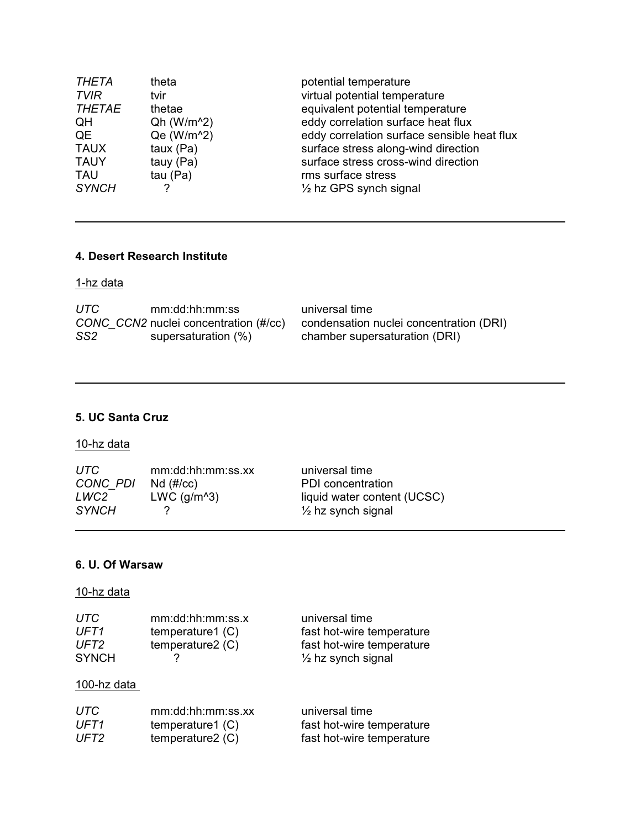| <b>THETA</b>  | theta                   | potential temperature                       |
|---------------|-------------------------|---------------------------------------------|
| TVIR          | tvir                    | virtual potential temperature               |
| <b>THETAE</b> | thetae                  | equivalent potential temperature            |
| QH            | $Qh (W/m^2)$            | eddy correlation surface heat flux          |
| QE            | Qe (W/m <sup>^2</sup> ) | eddy correlation surface sensible heat flux |
| <b>TAUX</b>   | taux $(Pa)$             | surface stress along-wind direction         |
| <b>TAUY</b>   | tauy (Pa)               | surface stress cross-wind direction         |
| <b>TAU</b>    | tau $(Pa)$              | rms surface stress                          |
| <b>SYNCH</b>  | 2                       | $\frac{1}{2}$ hz GPS synch signal           |

#### **4. Desert Research Institute**

1-hz data

| UTC.            | mm:dd:hh:mm:ss                        | universal time                          |
|-----------------|---------------------------------------|-----------------------------------------|
|                 | CONC CCN2 nuclei concentration (#/cc) | condensation nuclei concentration (DRI) |
| SS <sub>2</sub> | supersaturation (%)                   | chamber supersaturation (DRI)           |

# **5. UC Santa Cruz**

## 10-hz data

| UTC-<br>CONC PDI | mm:dd:hh:mm:ss.xx<br>$Nd$ (#/ $cc$ ) | universal time<br>PDI concentration |
|------------------|--------------------------------------|-------------------------------------|
| LWC2-            | LWC $(g/m^3)$                        | liquid water content (UCSC)         |
| <i>SYNCH</i>     |                                      | $\frac{1}{2}$ hz synch signal       |

#### **6. U. Of Warsaw**

| UTC              | mm:dd:hh:mm:ss.x | universal time                |
|------------------|------------------|-------------------------------|
| UFT <sub>1</sub> | temperature1 (C) | fast hot-wire temperature     |
| UFT <sub>2</sub> | temperature2 (C) | fast hot-wire temperature     |
| <b>SYNCH</b>     |                  | $\frac{1}{2}$ hz synch signal |
| 100-hz data      |                  |                               |

| UTC. | mm:dd:hh:mm:ss.xx  | universal time            |
|------|--------------------|---------------------------|
| UFT1 | temperature1 $(C)$ | fast hot-wire temperature |
| UFT2 | temperature $2(C)$ | fast hot-wire temperature |